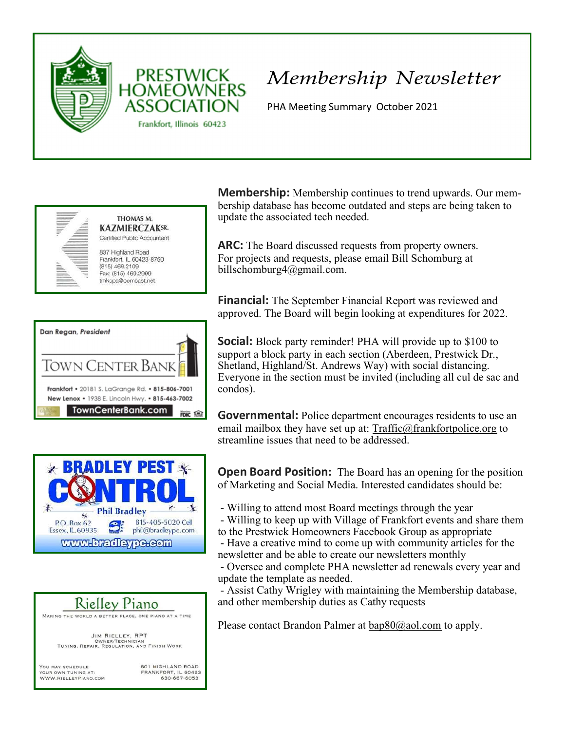

## Membership Newsletter

PHA Meeting Summary October 2021



| Dan Regan, President                                                                                |  |
|-----------------------------------------------------------------------------------------------------|--|
| TOWN CENTER BANK                                                                                    |  |
| Frankfort • 20181 S. LaGrange Rd. • 815-806-7001<br>New Lenox • 1938 E. Lincoln Hwy. • 815-463-7002 |  |
| TownCenterBank.com                                                                                  |  |





OWNER/TECHNICIAN<br>TUNING, REPAIR, REGULATION, AND FINISH WORK

YOU MAY SCHEDULE  $\Delta T$ WWW.RIELLEYPIANO.COM **801 HIGHLAND ROAD** FRANKFORT, IL 60423<br>630-667-6053 **Membership:** Membership continues to trend upwards. Our membership database has become outdated and steps are being taken to update the associated tech needed.

ARC: The Board discussed requests from property owners. For projects and requests, please email Bill Schomburg at billschomburg4@gmail.com.

**Financial:** The September Financial Report was reviewed and approved. The Board will begin looking at expenditures for 2022.

**Social:** Block party reminder! PHA will provide up to \$100 to support a block party in each section (Aberdeen, Prestwick Dr., Shetland, Highland/St. Andrews Way) with social distancing. Everyone in the section must be invited (including all cul de sac and condos).

**Governmental:** Police department encourages residents to use an email mailbox they have set up at: Traffic@frankfortpolice.org to streamline issues that need to be addressed.

**Open Board Position:** The Board has an opening for the position of Marketing and Social Media. Interested candidates should be:

- Willing to attend most Board meetings through the year

- Willing to keep up with Village of Frankfort events and share them to the Prestwick Homeowners Facebook Group as appropriate

- Have a creative mind to come up with community articles for the newsletter and be able to create our newsletters monthly

- Oversee and complete PHA newsletter ad renewals every year and update the template as needed.

- Assist Cathy Wrigley with maintaining the Membership database, and other membership duties as Cathy requests

Please contact Brandon Palmer at  $bap80@aol.com$  to apply.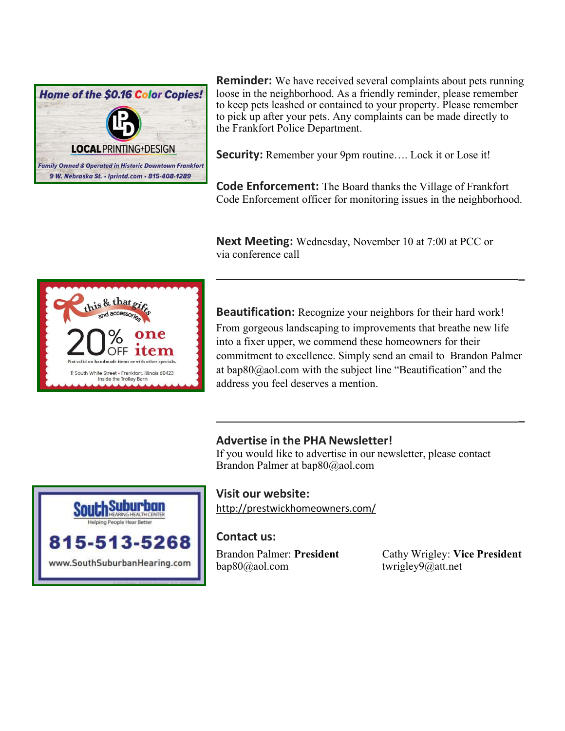

**Reminder:** We have received several complaints about pets running loose in the neighborhood. As a friendly reminder, please remember to keep pets leashed or contained to your property. Please remember to pick up after your pets. Any complaints can be made directly to the Frankfort Police Department.

Security: Remember your 9pm routine.... Lock it or Lose it!

**Code Enforcement:** The Board thanks the Village of Frankfort Code Enforcement officer for monitoring issues in the neighborhood.

**Next Meeting:** Wednesday, November 10 at 7:00 at PCC or via conference call



**Beautification:** Recognize your neighbors for their hard work! From gorgeous landscaping to improvements that breathe new life into a fixer upper, we commend these homeowners for their commitment to excellence. Simply send an email to Brandon Palmer at bap80@aol.com with the subject line "Beautification" and the address you feel deserves a mention.

\_

\_

## Advertise in the PHA Newsletter!

If you would like to advertise in our newsletter, please contact Brandon Palmer at bap80@aol.com



Visit our website:

http://prestwickhomeowners.com/

## Contact us:

bap80@aol.com twrigley9@att.net

Brandon Palmer: President Cathy Wrigley: Vice President